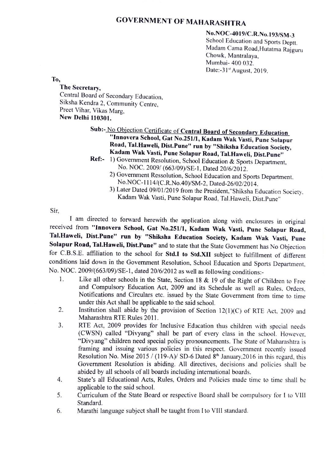# GOVERNMENT OF MAHARASHTRA

No.NOC-4019/C.R.No.193/SM-3<br>School Education and Sports Deptt. Madam Cama Road,Hutatma Rajguru<br>Chowk, Mantralaya, Mumbai- 400 032. Date:- $31<sup>st</sup>$  August, 2019.

To,

The Secretary,<br>Central Board of Secondary Education, Siksha Kendra 2, Community Centre,<br>Preet Vihar, Vikas Marg,<br>New Delhi 110301.

# Sub:- No Objection Certificate of Central Board of Secondary Education<br>
"Innovera School, Gat No.251/1, Kadam Wak Vasti, Pune Solapur<br>
Road, Tal.Haweli, Dist.Pune" run by "Shiksha Education Society,<br>
Kadam Wak Vasti, Pune

- Ref: 1) Government Resolution, School Education & Sports Department,<br>No. NOC. 2009/ (663/09)/SE-1, Dated 20/6/2012.
	- 2) Government Ressolution, School Education and Sports Department. No.NOC-1114/(C.R.No.40)/SM-2, Dated-26/02/2014.
	- 3) Later Dated 09/01/2019 from the President,"Shiksha Education Society. Kadam Wak Vasti, Pune Solapur Road, Tal.Haweli, Dist.Pune"

Sir,

I am directed to forward herewith the application along with enclosures in original received from "Innovera School, Gat No.251/1, Kadam Wak Vasti, Pune Solapur Road, Tal.Haweli, Dist.Pune" run by "Shiksha Education Society, Kadam Wak Vasti, Pune Solapur Road, Tal.Haweli, Dist.Pune" and to state that the State Government has No Objection for C.B.S.E. affiliation to the school for Std.I to Std.XII subject to fulfillment of diferent conditions laid down in the Government Resolution, School Education and Sports Department. No. NOC. 2009/(663/09)/SE-1, dated 20/6/2012 as well as following conditions:

- Like all other schools in the State, Section 18 & 19 of the Right of Children to Free 1. and Compulsory Education Act, 2009 and its Schedule as well as Rules. Orders, Notifications and Circulars etc. issued by the State Government from time to time under this Act shall be applicable to the said school.
- 2. Institution shall abide by the provision of Section  $12(1)(C)$  of RTE Act, 2009 and Maharashtra RTE Rules 2011.
- RTE Act, 2009 provides for Inclusive Education thus children with special needs (CwSN) called "Divyang" shal be part of every class in the school. However. "Divyang" children need special policy pronouncements. The State of Maharashtra is framing and issuing various policies in this respect. Government recently issued Resolution No. Mise 2015 / (119-A)/ SD-6 Dated  $8<sup>th</sup>$  January.2016 in this regard, this Government Resolution is abiding. All directives, decisions and policies shall be abided by all schools of all boards including international boards. 3.
- State's all Educational Acts, Rules, Orders and Policies made time to time shall be applicable to the said school.  $\overline{4}$ .
- Curriculum of the State Board or respective Board shall be compulsory for I to VIlI Standard. 5
- 6 Marathi language subject shall be taught from I to VIll standard.